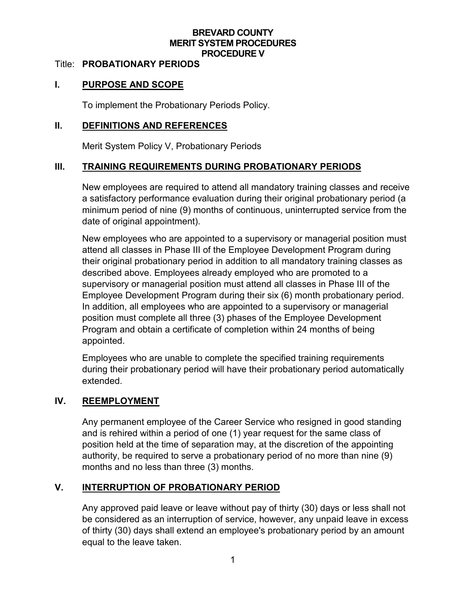### **BREVARD COUNTY MERIT SYSTEM PROCEDURES PROCEDURE V**

#### Title: **PROBATIONARY PERIODS**

## **I. PURPOSE AND SCOPE**

To implement the Probationary Periods Policy.

### **II. DEFINITIONS AND REFERENCES**

Merit System Policy V, Probationary Periods

## **III. TRAINING REQUIREMENTS DURING PROBATIONARY PERIODS**

New employees are required to attend all mandatory training classes and receive a satisfactory performance evaluation during their original probationary period (a minimum period of nine (9) months of continuous, uninterrupted service from the date of original appointment).

New employees who are appointed to a supervisory or managerial position must attend all classes in Phase III of the Employee Development Program during their original probationary period in addition to all mandatory training classes as described above. Employees already employed who are promoted to a supervisory or managerial position must attend all classes in Phase III of the Employee Development Program during their six (6) month probationary period. In addition, all employees who are appointed to a supervisory or managerial position must complete all three (3) phases of the Employee Development Program and obtain a certificate of completion within 24 months of being appointed.

Employees who are unable to complete the specified training requirements during their probationary period will have their probationary period automatically extended.

### **IV. REEMPLOYMENT**

Any permanent employee of the Career Service who resigned in good standing and is rehired within a period of one (1) year request for the same class of position held at the time of separation may, at the discretion of the appointing authority, be required to serve a probationary period of no more than nine (9) months and no less than three (3) months.

## **V. INTERRUPTION OF PROBATIONARY PERIOD**

Any approved paid leave or leave without pay of thirty (30) days or less shall not be considered as an interruption of service, however, any unpaid leave in excess of thirty (30) days shall extend an employee's probationary period by an amount equal to the leave taken.